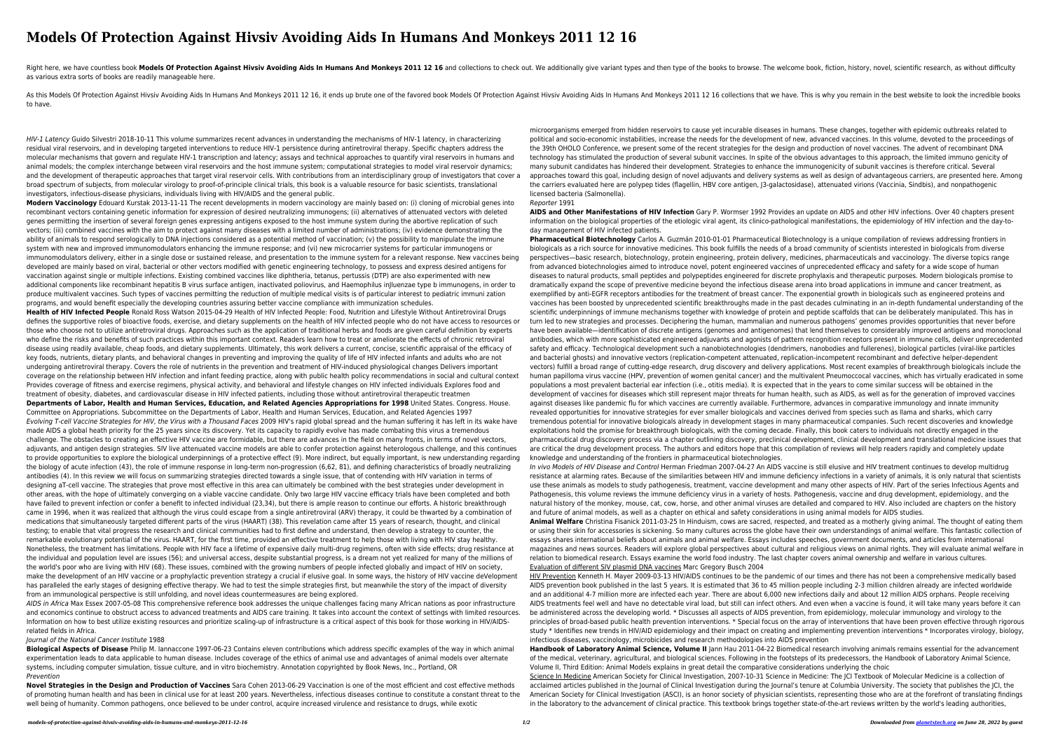# **Models Of Protection Against Hivsiv Avoiding Aids In Humans And Monkeys 2011 12 16**

Right here, we have countless book Models Of Protection Against Hivsiv Avoiding Aids In Humans And Monkeys 2011 12 16 and collections to check out. We additionally give variant types and then type of the books to browse. T as various extra sorts of books are readily manageable here.

As this Models Of Protection Against Hivsiv Avoiding Aids In Humans And Monkeys 2011 12 16, it ends up brute one of the favored book Models Of Protection Against Hivsiv Avoiding Aids In Humans And Monkeys 2011 12 16 collec to have.

HIV-1 Latency Guido Silvestri 2018-10-11 This volume summarizes recent advances in understanding the mechanisms of HIV-1 latency, in characterizing residual viral reservoirs, and in developing targeted interventions to reduce HIV-1 persistence during antiretroviral therapy. Specific chapters address the molecular mechanisms that govern and regulate HIV-1 transcription and latency; assays and technical approaches to quantify viral reservoirs in humans and animal models; the complex interchange between viral reservoirs and the host immune system; computational strategies to model viral reservoir dynamics; and the development of therapeutic approaches that target viral reservoir cells. With contributions from an interdisciplinary group of investigators that cover a broad spectrum of subjects, from molecular virology to proof-of-principle clinical trials, this book is a valuable resource for basic scientists, translational investigators, infectious-disease physicians, individuals living with HIV/AIDS and the general public.

**Modern Vaccinology** Edouard Kurstak 2013-11-11 The recent developments in modern vaccinology are mainly based on: (i) cloning of microbial genes into recombinant vectors containing genetic information for expression of desired neutralizing immunogens; (ii) alternatives of attenuated vectors with deleted genes permitting the insertion of several foreign genes expressing antigens exposed to the host immune system during the abortive replication of such vectors; (iii) combined vaccines with the aim to protect against many diseases with a limited number of administrations; (iv) evidence demonstrating the ability of animals to respond serologically to DNA injections considered as a potential method of vaccination; (v) the possibility to manipulate the immune system with new and improved immunomodulators enhancing the immune response; and (vi) new microcarrier systems for particular immunogens or immunomodulators delivery, either in a single dose or sustained release, and presentation to the immune system for a relevant response. New vaccines being developed are mainly based on viral, bacterial or other vectors modified with genetic engineering technology, to possess and express desired antigens for vaccination against single or multiple infections. Existing combined vaccines like diphtheria, tetanus, pertussis (DTP) are also experimented with new additional components like recombinant hepatitis B virus surface antigen, inactivated poliovirus, and Haemophilus inJluenzae type b immunogens, in order to produce multivalent vaccines. Such types of vaccines permitting the reduction of multiple medical visits is of particular interest to pediatric immuni zation programs, and would benefit especially the developing countries assuring better vaccine compliance with immunization schedules.

**Health of HIV Infected People** Ronald Ross Watson 2015-04-29 Health of HIV Infected People: Food, Nutrition and Lifestyle Without Antiretroviral Drugs defines the supportive roles of bioactive foods, exercise, and dietary supplements on the health of HIV infected people who do not have access to resources or those who choose not to utilize antiretroviral drugs. Approaches such as the application of traditional herbs and foods are given careful definition by experts who define the risks and benefits of such practices within this important context. Readers learn how to treat or ameliorate the effects of chronic retroviral disease using readily available, cheap foods, and dietary supplements. Ultimately, this work delivers a current, concise, scientific appraisal of the efficacy of key foods, nutrients, dietary plants, and behavioral changes in preventing and improving the quality of life of HIV infected infants and adults who are not undergoing antiretroviral therapy. Covers the role of nutrients in the prevention and treatment of HIV-induced physiological changes Delivers important coverage on the relationship between HIV infection and infant feeding practice, along with public health policy recommendations in social and cultural context Provides coverage of fitness and exercise regimens, physical activity, and behavioral and lifestyle changes on HIV infected individuals Explores food and treatment of obesity, diabetes, and cardiovascular disease in HIV infected patients, including those without antiretroviral therapeutic treatmen **Departments of Labor, Health and Human Services, Education, and Related Agencies Appropriations for 1998** United States. Congress. House. Committee on Appropriations. Subcommittee on the Departments of Labor, Health and Human Services, Education, and Related Agencies 1997 Evolving T-cell Vaccine Strategies for HIV, the Virus with a Thousand Faces 2009 HIV's rapid global spread and the human suffering it has left in its wake have made AIDS a global heath priority for the 25 years since its discovery. Yet its capacity to rapidly evolve has made combating this virus a tremendous challenge. The obstacles to creating an effective HIV vaccine are formidable, but there are advances in the field on many fronts, in terms of novel vectors, adjuvants, and antigen design strategies. SIV live attenuated vaccine models are able to confer protection against heterologous challenge, and this continues to provide opportunities to explore the biological underpinnings of a protective effect (9). More indirect, but equally important, is new understanding regarding the biology of acute infection (43), the role of immune response in long-term non-progression (6,62, 81), and defining characteristics of broadly neutralizing antibodies (4). In this review we will focus on summarizing strategies directed towards a single issue, that of contending with HIV variation in terms of designing aT-cell vaccine. The strategies that prove most effective in this area can ultimately be combined with the best strategies under development in other areas, with the hope of ultimately converging on a viable vaccine candidate. Only two large HIV vaccine efficacy trials have been completed and both have failed to prevent infection or confer a benefit to infected individual (23,34), but there is ample reason to continue our efforts. A historic breakthrough came in 1996, when it was realized that although the virus could escape from a single antiretroviral (ARV) therapy, it could be thwarted by a combination of medications that simultaneously targeted different parts of the virus (HAART) (38). This revelation came after 15 years of research, thought, and clinical testing; to enable that vital progress the research and clinical communities had to first define and understand, then develop a strategy to counter, the remarkable evolutionary potential of the virus. HAART, for the first time, provided an effective treatment to help those with living with HIV stay healthy. Nonetheless, the treatment has limitations. People with HIV face a lifetime of expensive daily multi-drug regimens, often with side effects; drug resistance at the individual and population level are issues (56); and universal access, despite substantial progress, is a dream not yet realized for many of the millions of the world's poor who are living with HIV (68). These issues, combined with the growing numbers of people infected globally and impact of HIV on society, make the development of an HIV vaccine or a prophylactic prevention strategy a crucial if elusive goal. In some ways, the history of HIV vaccine deVelopment has paralleled the early stages of designing effective therapy. We had to test the simple strategies first, but meanwhile the story of the impact of diversity from an immunological perspective is still unfolding, and novel ideas countermeasures are being explored.

In vivo Models of HIV Disease and Control Herman Friedman 2007-04-27 An AIDS vaccine is still elusive and HIV treatment continues to develop multidrug resistance at alarming rates. Because of the similarities between HIV and immune deficiency infections in a variety of animals, it is only natural that scientists use these animals as models to study pathogenesis, treatment, vaccine development and many other aspects of HIV. Part of the series Infectious Agents and Pathogenesis, this volume reviews the immune deficiency virus in a variety of hosts. Pathogenesis, vaccine and drug development, epidemiology, and the natural history of the monkey, mouse, cat, cow, horse, and other animal viruses are detailed and compared to HIV. Also included are chapters on the history and future of animal models, as well as a chapter on ethical and safety considerations in using animal models for AIDS studies.

AIDS in Africa Max Essex 2007-05-08 This comprehensive reference book addresses the unique challenges facing many African nations as poor infrastructure and economics continue to obstruct access to advanced treatments and AIDS care training. It takes into account the context of settings with limited resources. Information on how to best utilize existing resources and prioritize scaling-up of infrastructure is a critical aspect of this book for those working in HIV/AIDSrelated fields in Africa.

HIV Prevention Kenneth H. Mayer 2009-03-13 HIV/AIDS continues to be the pandemic of our times and there has not been a comprehensive medically based AIDS prevention book published in the last 5 years. It is estimated that 36 to 45 million people including 2-3 million children already are infected worldwide and an additional 4-7 million more are infected each year. There are about 6,000 new infections daily and about 12 million AIDS orphans. People receiving AIDS treatments feel well and have no detectable viral load, but still can infect others. And even when a vaccine is found, it will take many years before it can be administered across the developing world. \* Discusses all aspects of AIDS prevention, from epidemiology, molecular immunology and virology to the principles of broad-based public health prevention interventions. \* Special focus on the array of interventions that have been proven effective through rigorous study \* Identifies new trends in HIV/AID epidemiology and their impact on creating and implementing prevention interventions \* Incorporates virology, biology, infectious diseases, vaccinology, microbicides and research methodologies into AIDS prevention

# Journal of the National Cancer Institute 1988

**Biological Aspects of Disease** Philip M. Iannaccone 1997-06-23 Contains eleven contributions which address specific examples of the way in which animal experimentation leads to data applicable to human disease. Includes coverage of the ethics of animal use and advantages of animal models over alternate systems, including computer simulation, tissue culture, and in vitro biochemistry. Annotation copyrighted by Book News, Inc., Portland, OR Prevention

Science In Medicine American Society for Clinical Investigation, 2007-10-31 Science in Medicine: The JCI Textbook of Molecular Medicine is a collection of acclaimed articles published in the Journal of Clinical Investigation during the Journal's tenure at Columbia University. The society that publishes the JCI, the American Society for Clinical Investigation (ASCI), is an honor society of physician scientists, representing those who are at the forefront of translating findings in the laboratory to the advancement of clinical practice. This textbook brings together state-of-the-art reviews written by the world's leading authorities,

**Novel Strategies in the Design and Production of Vaccines** Sara Cohen 2013-06-29 Vaccination is one of the most efficient and cost effective methods of promoting human health and has been in clinical use for at least 200 years. Nevertheless, infectious diseases continue to constitute a constant threat to the well being of humanity. Common pathogens, once believed to be under control, acquire increased virulence and resistance to drugs, while exotic

microorganisms emerged from hidden reservoirs to cause yet incurable diseases in humans. These changes, together with epidemic outbreaks related to political and socio-economic instabilities, increase the needs for the development of new, advanced vaccines. In this volume, devoted to the proceedings of the 39th OHOLO Conference, we present some of the recent strategies for the design and production of novel vaccines. The advent of recombinant DNA technology has stimulated the production of several subunit vaccines. In spite of the obvious advantages to this approach, the limited immuno genicity of many subunit candidates has hindered their development. Strategies to enhance the immunogenicity of subunit vaccines is therefore critical. Several approaches toward this goal, including design of novel adjuvants and delivery systems as well as design of advantageous carriers, are presented here. Among the carriers evaluated here are polypep tides (flagellin, HBV core antigen, J3-galactosidase), attenuated virions (Vaccinia, Sindbis), and nonpathogenic licensed bacteria (Salmonella).

Reporter 1991

**AIDS and Other Manifestations of HIV Infection** Gary P. Wormser 1992 Provides an update on AIDS and other HIV infections. Over 40 chapters present information on the biological properties of the etiologic viral agent, its clinico-pathological manifestations, the epidemiology of HIV infection and the day-today management of HIV infected patients.

**Pharmaceutical Biotechnology** Carlos A. Guzmán 2010-01-01 Pharmaceutical Biotechnology is a unique compilation of reviews addressing frontiers in biologicals as a rich source for innovative medicines. This book fulfills the needs of a broad community of scientists interested in biologicals from diverse perspectives—basic research, biotechnology, protein engineering, protein delivery, medicines, pharmaceuticals and vaccinology. The diverse topics range from advanced biotechnologies aimed to introduce novel, potent engineered vaccines of unprecedented efficacy and safety for a wide scope of human diseases to natural products, small peptides and polypeptides engineered for discrete prophylaxis and therapeutic purposes. Modern biologicals promise to dramatically expand the scope of preventive medicine beyond the infectious disease arena into broad applications in immune and cancer treatment, as exemplified by anti-EGFR receptors antibodies for the treatment of breast cancer. The exponential growth in biologicals such as engineered proteins and vaccines has been boosted by unprecedented scientific breakthroughs made in the past decades culminating in an in-depth fundamental understanding of the scientific underpinnings of immune mechanisms together with knowledge of protein and peptide scaffolds that can be deliberately manipulated. This has in turn led to new strategies and processes. Deciphering the human, mammalian and numerous pathogens' genomes provides opportunities that never before have been available—identification of discrete antigens (genomes and antigenomes) that lend themselves to considerably improved antigens and monoclonal antibodies, which with more sophisticated engineered adjuvants and agonists of pattern recognition receptors present in immune cells, deliver unprecedented safety and efficacy. Technological development such a nanobiotechnologies (dendrimers, nanobodies and fullerenes), biological particles (viral-like particles and bacterial ghosts) and innovative vectors (replication-competent attenuated, replication-incompetent recombinant and defective helper-dependent vectors) fulfill a broad range of cutting-edge research, drug discovery and delivery applications. Most recent examples of breakthrough biologicals include the human papilloma virus vaccine (HPV, prevention of women genital cancer) and the multivalent Pneumoccocal vaccines, which has virtually eradicated in some populations a most prevalent bacterial ear infection (i.e., otitis media). It is expected that in the years to come similar success will be obtained in the development of vaccines for diseases which still represent major threats for human health, such as AIDS, as well as for the generation of improved vaccines against diseases like pandemic flu for which vaccines are currently available. Furthermore, advances in comparative immunology and innate immunity revealed opportunities for innovative strategies for ever smaller biologicals and vaccines derived from species such as llama and sharks, which carry tremendous potential for innovative biologicals already in development stages in many pharmaceutical companies. Such recent discoveries and knowledge exploitations hold the promise for breakthrough biologicals, with the coming decade. Finally, this book caters to individuals not directly engaged in the pharmaceutical drug discovery process via a chapter outlining discovery, preclinical development, clinical development and translational medicine issues that are critical the drug development process. The authors and editors hope that this compilation of reviews will help readers rapidly and completely update knowledge and understanding of the frontiers in pharmaceutical biotechnologies.

**Animal Welfare** Christina Fisanick 2011-03-25 In Hinduism, cows are sacred, respected, and treated as a motherly giving animal. The thought of eating them or using their skin for accessories is sickening. So many cultures across the globe have their own understandings of animal welfare. This fantastic collection of essays shares international beliefs about animals and animal welfare. Essays includes speeches, government documents, and articles from international magazines and news sources. Readers will explore global perspectives about cultural and religious views on animal rights. They will evaluate animal welfare in relation to biomedical research. Essays examine the world food industry. The last chapter covers animal ownership and welfare in various cultures. Evaluation of different SIV plasmid DNA vaccines Marc Gregory Busch 2004

**Handbook of Laboratory Animal Science, Volume II** Jann Hau 2011-04-22 Biomedical research involving animals remains essential for the advancement of the medical, veterinary, agricultural, and biological sciences. Following in the footsteps of its predecessors, the Handbook of Laboratory Animal Science, Volume II, Third Edition: Animal Models explains in great detail the comparative considerations underlying the choic